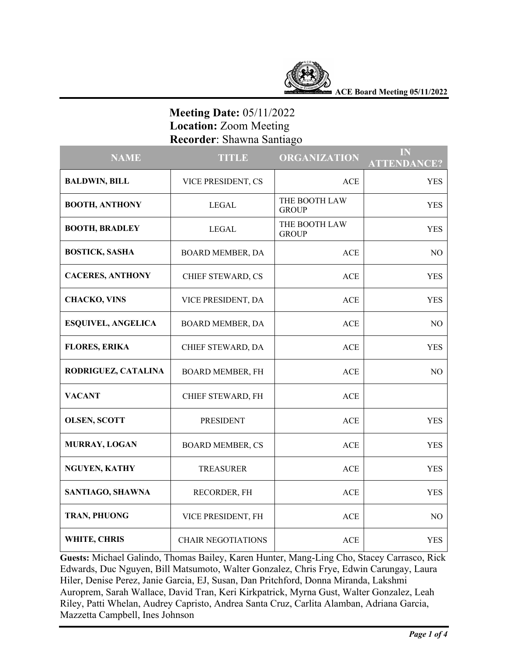

**ACE Board Meeting 05/11/2022**

# **Meeting Date:** 05/11/2022  **Location:** Zoom Meeting  **Recorder**: Shawna Santiago

| <b>NAME</b>               | <b>TITLE</b>              | <b>ORGANIZATION</b>           | IN<br><b>ATTENDANCE?</b> |
|---------------------------|---------------------------|-------------------------------|--------------------------|
| <b>BALDWIN, BILL</b>      | VICE PRESIDENT, CS        | <b>ACE</b>                    | <b>YES</b>               |
| <b>BOOTH, ANTHONY</b>     | <b>LEGAL</b>              | THE BOOTH LAW<br><b>GROUP</b> | <b>YES</b>               |
| <b>BOOTH, BRADLEY</b>     | <b>LEGAL</b>              | THE BOOTH LAW<br><b>GROUP</b> | <b>YES</b>               |
| <b>BOSTICK, SASHA</b>     | BOARD MEMBER, DA          | ACE                           | NO                       |
| <b>CACERES, ANTHONY</b>   | CHIEF STEWARD, CS         | ACE                           | <b>YES</b>               |
| <b>CHACKO, VINS</b>       | VICE PRESIDENT, DA        | <b>ACE</b>                    | <b>YES</b>               |
| <b>ESQUIVEL, ANGELICA</b> | BOARD MEMBER, DA          | <b>ACE</b>                    | NO.                      |
| <b>FLORES, ERIKA</b>      | CHIEF STEWARD, DA         | ACE                           | <b>YES</b>               |
| RODRIGUEZ, CATALINA       | <b>BOARD MEMBER, FH</b>   | ACE                           | NO                       |
| <b>VACANT</b>             | CHIEF STEWARD, FH         | ACE                           |                          |
| <b>OLSEN, SCOTT</b>       | <b>PRESIDENT</b>          | <b>ACE</b>                    | <b>YES</b>               |
| MURRAY, LOGAN             | <b>BOARD MEMBER, CS</b>   | <b>ACE</b>                    | <b>YES</b>               |
| NGUYEN, KATHY             | <b>TREASURER</b>          | ACE                           | <b>YES</b>               |
| SANTIAGO, SHAWNA          | RECORDER, FH              | <b>ACE</b>                    | <b>YES</b>               |
| TRAN, PHUONG              | VICE PRESIDENT, FH        | <b>ACE</b>                    | N <sub>O</sub>           |
| WHITE, CHRIS              | <b>CHAIR NEGOTIATIONS</b> | <b>ACE</b>                    | <b>YES</b>               |

**Guests:** Michael Galindo, Thomas Bailey, Karen Hunter, Mang-Ling Cho, Stacey Carrasco, Rick Edwards, Duc Nguyen, Bill Matsumoto, Walter Gonzalez, Chris Frye, Edwin Carungay, Laura Hiler, Denise Perez, Janie Garcia, EJ, Susan, Dan Pritchford, Donna Miranda, Lakshmi Auroprem, Sarah Wallace, David Tran, Keri Kirkpatrick, Myrna Gust, Walter Gonzalez, Leah Riley, Patti Whelan, Audrey Capristo, Andrea Santa Cruz, Carlita Alamban, Adriana Garcia, Mazzetta Campbell, Ines Johnson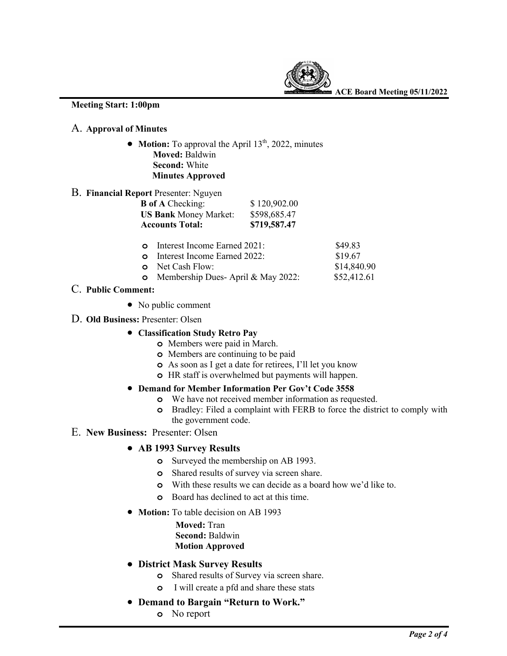

**ACE Board Meeting 05/11/2022**

#### **Meeting Start: 1:00pm**

## A. **Approval of Minutes**

• **Motion:** To approval the April 13<sup>th</sup>, 2022, minutes  **Moved:** Baldwin  **Second:** White  **Minutes Approved**

### B. **Financial Report** Presenter: Nguyen

| <b>B</b> of A Checking:      | \$120,902.00 |
|------------------------------|--------------|
| <b>US Bank Money Market:</b> | \$598,685.47 |
| <b>Accounts Total:</b>       | \$719,587.47 |
|                              |              |

| <b>o</b> Interest Income Earned 2021:      | \$49.83     |
|--------------------------------------------|-------------|
| <b>o</b> Interest Income Earned 2022:      | \$19.67     |
| <b>o</b> Net Cash Flow:                    | \$14,840.90 |
| <b>o</b> Membership Dues-April & May 2022: | \$52,412.61 |

- C. **Public Comment:**
	- No public comment
- D. **Old Business:** Presenter: Olsen
	- **Classification Study Retro Pay**
		- **o** Members were paid in March.
		- **o** Members are continuing to be paid
		- **o** As soon as I get a date for retirees, I'll let you know
		- **o** HR staff is overwhelmed but payments will happen.

#### • **Demand for Member Information Per Gov't Code 3558**

- **o** We have not received member information as requested.
- **o** Bradley: Filed a complaint with FERB to force the district to comply with the government code.

### E. **New Business:** Presenter: Olsen

- **AB 1993 Survey Results**
	- **o** Surveyed the membership on AB 1993.
	- **o** Shared results of survey via screen share.
	- **o** With these results we can decide as a board how we'd like to.
	- **o** Board has declined to act at this time.
- **Motion:** To table decision on AB 1993
	- **Moved:** Tran  **Second:** Baldwin  **Motion Approved**
- **District Mask Survey Results**
	- **o** Shared results of Survey via screen share.
	- **o** I will create a pfd and share these stats
- **Demand to Bargain "Return to Work."** 
	- **o** No report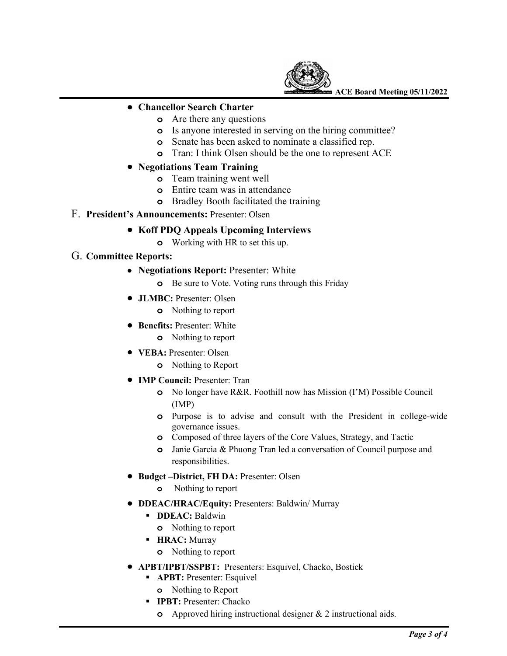

**ACE Board Meeting 05/11/2022**

#### • **Chancellor Search Charter**

- **o** Are there any questions
- **o** Is anyone interested in serving on the hiring committee?
- **o** Senate has been asked to nominate a classified rep.
- **o** Tran: I think Olsen should be the one to represent ACE

## • **Negotiations Team Training**

- **o** Team training went well
- **o** Entire team was in attendance
- **o** Bradley Booth facilitated the training

## F. **President's Announcements:** Presenter: Olsen

#### • **Koff PDQ Appeals Upcoming Interviews**

**o** Working with HR to set this up.

### G. **Committee Reports:**

- **Negotiations Report:** Presenter: White
	- **o** Be sure to Vote. Voting runs through this Friday
- **JLMBC:** Presenter: Olsen
	- **o** Nothing to report
- **Benefits:** Presenter: White
	- **o** Nothing to report
- **VEBA:** Presenter: Olsen
	- **o** Nothing to Report
- **IMP Council:** Presenter: Tran
	- **o** No longer have R&R. Foothill now has Mission (I'M) Possible Council (IMP)
	- **o** Purpose is to advise and consult with the President in college-wide governance issues.
	- **o** Composed of three layers of the Core Values, Strategy, and Tactic
	- **o** Janie Garcia & Phuong Tran led a conversation of Council purpose and responsibilities.
- **Budget –District, FH DA:** Presenter: Olsen
	- **o** Nothing to report
- **DDEAC/HRAC/Equity:** Presenters: Baldwin/ Murray
	- § **DDEAC:** Baldwin
		- **o** Nothing to report
	- § **HRAC:** Murray
		- **o** Nothing to report
- **APBT/IPBT/SSPBT:** Presenters: Esquivel, Chacko, Bostick
	- § **APBT:** Presenter: Esquivel
		- **o** Nothing to Report
	- § **IPBT:** Presenter: Chacko
		- **o** Approved hiring instructional designer & 2 instructional aids.